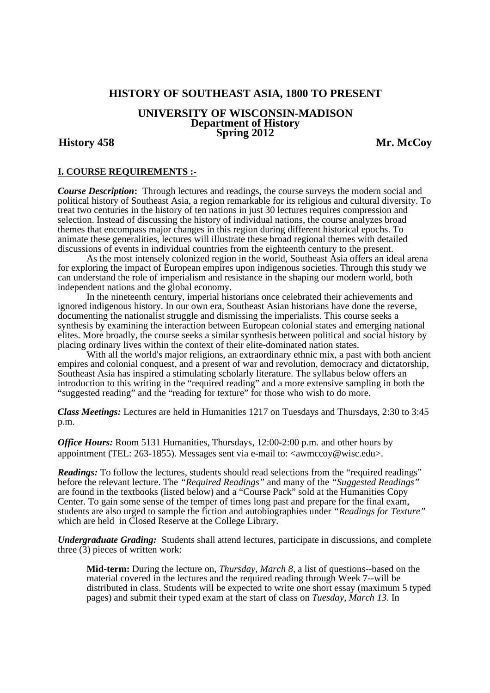# **HISTORY OF SOUTHEAST ASIA, 1800 TO PRESENT**

### **UNIVERSITY OF WISCONSIN-MADISON Department of History Spring 2012**

# **History 458 Mr. McCoy**

# **I. COURSE REQUIREMENTS :-**

*Course Description***:** Through lectures and readings, the course surveys the modern social and political history of Southeast Asia, a region remarkable for its religious and cultural diversity. To treat two centuries in the history of ten nations in just 30 lectures requires compression and selection. Instead of discussing the history of individual nations, the course analyzes broad themes that encompass major changes in this region during different historical epochs. To animate these generalities, lectures will illustrate these broad regional themes with detailed discussions of events in individual countries from the eighteenth century to the present.

 As the most intensely colonized region in the world, Southeast Asia offers an ideal arena for exploring the impact of European empires upon indigenous societies. Through this study we can understand the role of imperialism and resistance in the shaping our modern world, both independent nations and the global economy.

 In the nineteenth century, imperial historians once celebrated their achievements and ignored indigenous history. In our own era, Southeast Asian historians have done the reverse, documenting the nationalist struggle and dismissing the imperialists. This course seeks a synthesis by examining the interaction between European colonial states and emerging national elites. More broadly, the course seeks a similar synthesis between political and social history by placing ordinary lives within the context of their elite-dominated nation states.

With all the world's major religions, an extraordinary ethnic mix, a past with both ancient empires and colonial conquest, and a present of war and revolution, democracy and dictatorship, Southeast Asia has inspired a stimulating scholarly literature. The syllabus below offers an introduction to this writing in the "required reading" and a more extensive sampling in both the "suggested reading" and the "reading for texture" for those who wish to do more.

*Class Meetings:* Lectures are held in Humanities 1217 on Tuesdays and Thursdays, 2:30 to 3:45 p.m.

*Office Hours:* Room 5131 Humanities, Thursdays, 12:00-2:00 p.m. and other hours by appointment (TEL: 263-1855). Messages sent via e-mail to: <awmccoy@wisc.edu>.

*Readings:* To follow the lectures, students should read selections from the "required readings" before the relevant lecture. The *"Required Readings"* and many of the *"Suggested Readings"* are found in the textbooks (listed below) and a "Course Pack" sold at the Humanities Copy" Center. To gain some sense of the temper of times long past and prepare for the final exam, students are also urged to sample the fiction and autobiographies under *"Readings for Texture"* which are held in Closed Reserve at the College Library.

*Undergraduate Grading:* Students shall attend lectures, participate in discussions, and complete three (3) pieces of written work:

**Mid-term:** During the lecture on, *Thursday, March 8*, a list of questions--based on the material covered in the lectures and the required reading through Week 7--will be distributed in class. Students will be expected to write one short essay (maximum 5 typed pages) and submit their typed exam at the start of class on *Tuesday, March 13*. In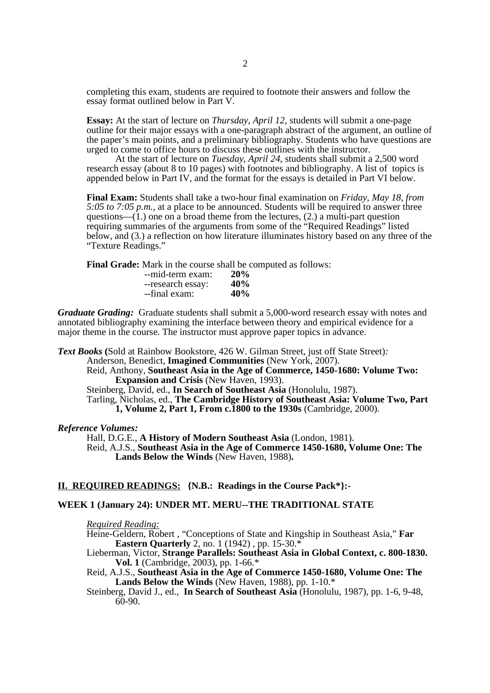completing this exam, students are required to footnote their answers and follow the essay format outlined below in Part V.

**Essay:** At the start of lecture on *Thursday, April 12*, students will submit a one-page outline for their major essays with a one-paragraph abstract of the argument, an outline of the paper's main points, and a preliminary bibliography. Students who have questions are urged to come to office hours to discuss these outlines with the instructor.

At the start of lecture on *Tuesday, April 24*, students shall submit a 2,500 word research essay (about 8 to 10 pages) with footnotes and bibliography. A list of topics is appended below in Part IV, and the format for the essays is detailed in Part VI below.

**Final Exam:** Students shall take a two-hour final examination on *Friday, May 18, from 5:05 to 7:05 p.m.,* at a place to be announced. Students will be required to answer three questions— $(1)$  one on a broad theme from the lectures, (2.) a multi-part question requiring summaries of the arguments from some of the "Required Readings" listed below, and (3.) a reflection on how literature illuminates history based on any three of the "Texture Readings."

**Final Grade:** Mark in the course shall be computed as follows:

| --mid-term exam:  | 20% |
|-------------------|-----|
| --research essay: | 40% |
| --final exam:     | 40% |

*Graduate Grading:* Graduate students shall submit a 5,000-word research essay with notes and annotated bibliography examining the interface between theory and empirical evidence for a major theme in the course. The instructor must approve paper topics in advance.

*Text Books* **(**Sold at Rainbow Bookstore, 426 W. Gilman Street, just off State Street)*:*

Anderson, Benedict, **Imagined Communities** (New York, 2007).

Reid, Anthony, **Southeast Asia in the Age of Commerce, 1450-1680: Volume Two: Expansion and Crisis** (New Haven, 1993).

Steinberg, David, ed., **In Search of Southeast Asia** (Honolulu, 1987).

Tarling, Nicholas, ed., **The Cambridge History of Southeast Asia: Volume Two, Part 1, Volume 2, Part 1, From c.1800 to the 1930s** (Cambridge, 2000).

### *Reference Volumes:*

Hall, D.G.E., **A History of Modern Southeast Asia** (London, 1981). Reid, A.J.S., **Southeast Asia in the Age of Commerce 1450-1680, Volume One: The Lands Below the Winds** (New Haven, 1988)**.** 

### **II. REQUIRED READINGS: {N.B.: Readings in the Course Pack\*}:-**

### **WEEK 1 (January 24): UNDER MT. MERU--THE TRADITIONAL STATE**

*Required Reading:*

Heine-Geldern, Robert , "Conceptions of State and Kingship in Southeast Asia," **Far Eastern Quarterly** 2, no. 1 (1942) , pp. 15-30.\*

Lieberman, Victor, **Strange Parallels: Southeast Asia in Global Context, c. 800-1830. Vol. 1** (Cambridge, 2003), pp. 1-66.\*

Reid, A.J.S., **Southeast Asia in the Age of Commerce 1450-1680, Volume One: The Lands Below the Winds** (New Haven, 1988), pp. 1-10.\*

Steinberg, David J., ed., **In Search of Southeast Asia** (Honolulu, 1987), pp. 1-6, 9-48,  $60-90.$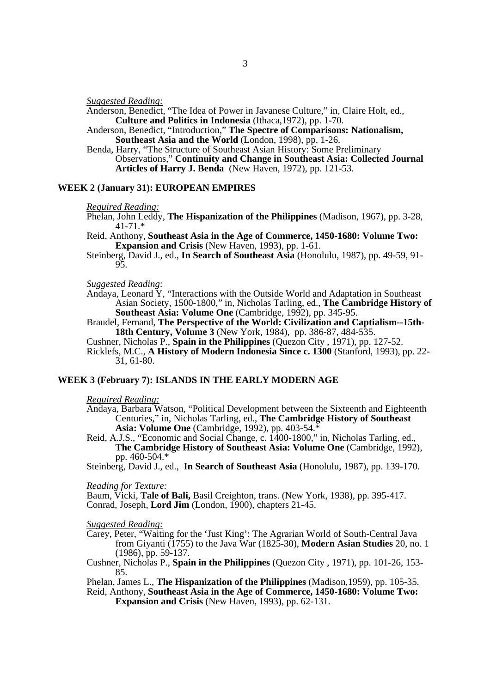*Suggested Reading:* 

Anderson, Benedict, "The Idea of Power in Javanese Culture," in, Claire Holt, ed., **Culture and Politics in Indonesia** (Ithaca,1972), pp. 1-70.

Anderson, Benedict, "Introduction," **The Spectre of Comparisons: Nationalism, Southeast Asia and the World** (London, 1998), pp. 1-26.

Benda, Harry, "The Structure of Southeast Asian History: Some Preliminary Observations," **Continuity and Change in Southeast Asia: Collected Journal Articles of Harry J. Benda** (New Haven, 1972), pp. 121-53.

### **WEEK 2 (January 31): EUROPEAN EMPIRES**

#### *Required Reading:*

Phelan, John Leddy, **The Hispanization of the Philippines** (Madison, 1967), pp. 3-28, 41-71.\*

Reid, Anthony, **Southeast Asia in the Age of Commerce, 1450-1680: Volume Two: Expansion and Crisis** (New Haven, 1993), pp. 1-61.

Steinberg, David J., ed., **In Search of Southeast Asia** (Honolulu, 1987), pp. 49-59, 91- 95.

#### *Suggested Reading:*

Andaya, Leonard  $\overline{Y}$ , "Interactions with the Outside World and Adaptation in Southeast Asian Society, 1500-1800," in, Nicholas Tarling, ed., **The Cambridge History of Southeast Asia: Volume One** (Cambridge, 1992), pp. 345-95.

Braudel, Fernand, **The Perspective of the World: Civilization and Captialism--15th-18th Century, Volume 3** (New York, 1984), pp. 386-87, 484-535.

Cushner, Nicholas P., **Spain in the Philippines** (Quezon City , 1971), pp. 127-52. Ricklefs, M.C., **A History of Modern Indonesia Since c. 1300** (Stanford, 1993), pp. 22- 31, 61-80.

#### **WEEK 3 (February 7): ISLANDS IN THE EARLY MODERN AGE**

#### *Required Reading:*

Andaya, Barbara Watson, "Political Development between the Sixteenth and Eighteenth Centuries," in, Nicholas Tarling, ed., **The Cambridge History of Southeast Asia: Volume One** (Cambridge, 1992), pp. 403-54.\*

Reid, A.J.S., "Economic and Social Change, c. 1400-1800," in, Nicholas Tarling, ed., **The Cambridge History of Southeast Asia: Volume One** (Cambridge, 1992), pp. 460-504.\*

Steinberg, David J., ed., **In Search of Southeast Asia** (Honolulu, 1987), pp. 139-170.

#### *Reading for Texture:*

Baum, Vicki, **Tale of Bali,** Basil Creighton, trans. (New York, 1938), pp. 395-417. Conrad, Joseph, **Lord Jim** (London, 1900), chapters 21-45.

#### *Suggested Reading:*

Carey, Peter, "Waiting for the 'Just King': The Agrarian World of South-Central Java from Giyanti (1755) to the Java War (1825-30), **Modern Asian Studies** 20, no. 1  $(1986)$ , pp. 59-137.

Cushner, Nicholas P., **Spain in the Philippines** (Quezon City , 1971), pp. 101-26, 153- 85.

Phelan, James L., **The Hispanization of the Philippines** (Madison,1959), pp. 105-35. Reid, Anthony, **Southeast Asia in the Age of Commerce, 1450-1680: Volume Two:** 

**Expansion and Crisis** (New Haven, 1993), pp. 62-131.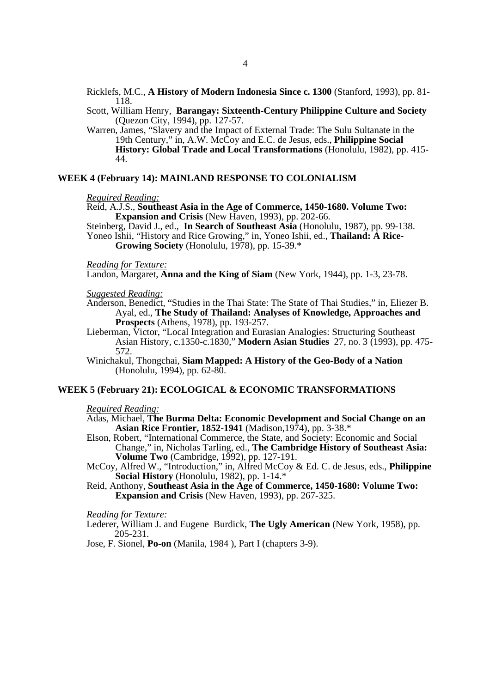Ricklefs, M.C., **A History of Modern Indonesia Since c. 1300** (Stanford, 1993), pp. 81- 118.

Scott, William Henry, **Barangay: Sixteenth-Century Philippine Culture and Society** (Quezon City, 1994), pp. 127-57.

Warren, James, "Slavery and the Impact of External Trade: The Sulu Sultanate in the 19th Century," in, A.W. McCoy and E.C. de Jesus, eds., **Philippine Social History: Global Trade and Local Transformations** (Honolulu, 1982), pp. 415- 44.

### **WEEK 4 (February 14): MAINLAND RESPONSE TO COLONIALISM**

#### *Required Reading:*

Reid, A.J.S., **Southeast Asia in the Age of Commerce, 1450-1680. Volume Two: Expansion and Crisis** (New Haven, 1993), pp. 202-66.

Steinberg, David J., ed., **In Search of Southeast Asia** (Honolulu, 1987), pp. 99-138. Yoneo Ishii, "History and Rice Growing," in, Yoneo Ishii, ed., **Thailand: A Rice-Growing Society** (Honolulu, 1978), pp. 15-39.\*

#### *Reading for Texture:*

Landon, Margaret, **Anna and the King of Siam** (New York, 1944), pp. 1-3, 23-78.

# *Suggested Reading:*

- Anderson, Benedict, "Studies in the Thai State: The State of Thai Studies," in, Eliezer B. Ayal, ed., **The Study of Thailand: Analyses of Knowledge, Approaches and Prospects** (Athens, 1978), pp. 193-257.
- Lieberman, Victor, "Local Integration and Eurasian Analogies: Structuring Southeast Asian History, c.1350-c.1830," **Modern Asian Studies** 27, no. 3 (1993), pp. 475- 572.
- Winichakul, Thongchai, **Siam Mapped: A History of the Geo-Body of a Nation** (Honolulu, 1994), pp. 62-80.

## **WEEK 5 (February 21): ECOLOGICAL & ECONOMIC TRANSFORMATIONS**

### *Required Reading:*

- Adas, Michael, **The Burma Delta: Economic Development and Social Change on an Asian Rice Frontier, 1852-1941** (Madison,1974), pp. 3-38.\*
- Elson, Robert, "International Commerce, the State, and Society: Economic and Social Change," in, Nicholas Tarling, ed., **The Cambridge History of Southeast Asia: Volume Two** (Cambridge, 1992), pp. 127-191.
- McCoy, Alfred W., "Introduction," in, Alfred McCoy & Ed. C. de Jesus, eds., **Philippine Social History** (Honolulu, 1982), pp. 1-14.\*
- Reid, Anthony, **Southeast Asia in the Age of Commerce, 1450-1680: Volume Two: Expansion and Crisis** (New Haven, 1993), pp. 267-325.

#### *Reading for Texture:*

Lederer, William J. and Eugene Burdick, **The Ugly American** (New York, 1958), pp. 205-231.

Jose, F. Sionel, **Po-on** (Manila, 1984 ), Part I (chapters 3-9).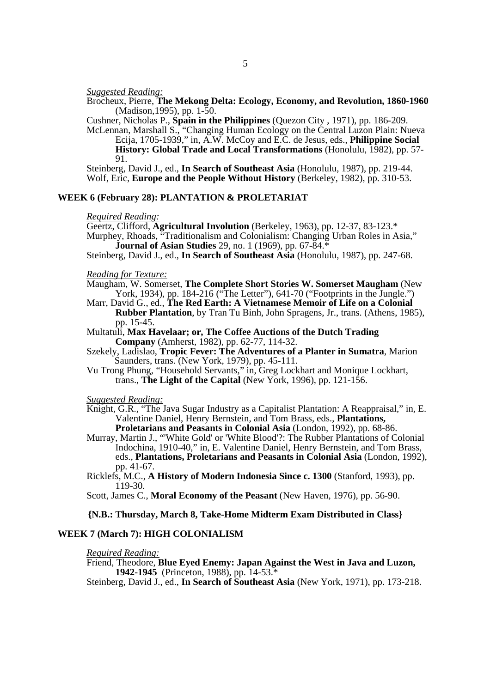*Suggested Reading:* 

Brocheux, Pierre, **The Mekong Delta: Ecology, Economy, and Revolution, 1860-1960** (Madison,1995), pp. 1-50.

Cushner, Nicholas P., **Spain in the Philippines** (Quezon City , 1971), pp. 186-209.

McLennan, Marshall S., "Changing Human Ecology on the Central Luzon Plain: Nueva Ecija, 1705-1939," in, A.W. McCoy and E.C. de Jesus, eds., **Philippine Social History: Global Trade and Local Transformations** (Honolulu, 1982), pp. 57- 91.

Steinberg, David J., ed., **In Search of Southeast Asia** (Honolulu, 1987), pp. 219-44. Wolf, Eric, **Europe and the People Without History** (Berkeley, 1982), pp. 310-53.

# **WEEK 6 (February 28): PLANTATION & PROLETARIAT**

#### *Required Reading:*

Geertz, Clifford, **Agricultural Involution** (Berkeley, 1963), pp. 12-37, 83-123.\* Murphey, Rhoads, "Traditionalism and Colonialism: Changing Urban Roles in Asia," **Journal of Asian Studies** 29, no. 1 (1969), pp. 67-84.<sup>\*</sup>

Steinberg, David J., ed., **In Search of Southeast Asia** (Honolulu, 1987), pp. 247-68.

### *Reading for Texture:*

Maugham, W. Somerset, **The Complete Short Stories W. Somerset Maugham** (New York, 1934), pp. 184-216 ("The Letter"), 641-70 ("Footprints in the Jungle.")

Marr, David G., ed., **The Red Earth: A Vietnamese Memoir of Life on a Colonial Rubber Plantation**, by Tran Tu Binh, John Spragens, Jr., trans. (Athens, 1985), pp. 15-45.

- Multatuli, **Max Havelaar; or, The Coffee Auctions of the Dutch Trading Company** (Amherst, 1982), pp. 62-77, 114-32.
- Szekely, Ladislao, **Tropic Fever: The Adventures of a Planter in Sumatra**, Marion Saunders, trans. (New York, 1979), pp. 45-111.
- Vu Trong Phung, "Household Servants," in, Greg Lockhart and Monique Lockhart, trans., **The Light of the Capital** (New York, 1996), pp. 121-156.

*Suggested Reading:* 

- Knight, G.R., "The Java Sugar Industry as a Capitalist Plantation: A Reappraisal," in, E. Valentine Daniel, Henry Bernstein, and Tom Brass, eds., **Plantations, Proletarians and Peasants in Colonial Asia** (London, 1992), pp. 68-86.
- Murray, Martin J., "'White Gold' or 'White Blood'?: The Rubber Plantations of Colonial Indochina, 1910-40," in, E. Valentine Daniel, Henry Bernstein, and Tom Brass, eds., **Plantations, Proletarians and Peasants in Colonial Asia** (London, 1992), pp. 41-67.

Ricklefs, M.C., **A History of Modern Indonesia Since c. 1300** (Stanford, 1993), pp. 119-30.

Scott, James C., **Moral Economy of the Peasant** (New Haven, 1976), pp. 56-90.

#### **{N.B.: Thursday, March 8, Take-Home Midterm Exam Distributed in Class}**

#### **WEEK 7 (March 7): HIGH COLONIALISM**

#### *Required Reading:*

Friend, Theodore, **Blue Eyed Enemy: Japan Against the West in Java and Luzon, 1942-1945** (Princeton, 1988), pp. 14-53.\*

Steinberg, David J., ed., **In Search of Southeast Asia** (New York, 1971), pp. 173-218.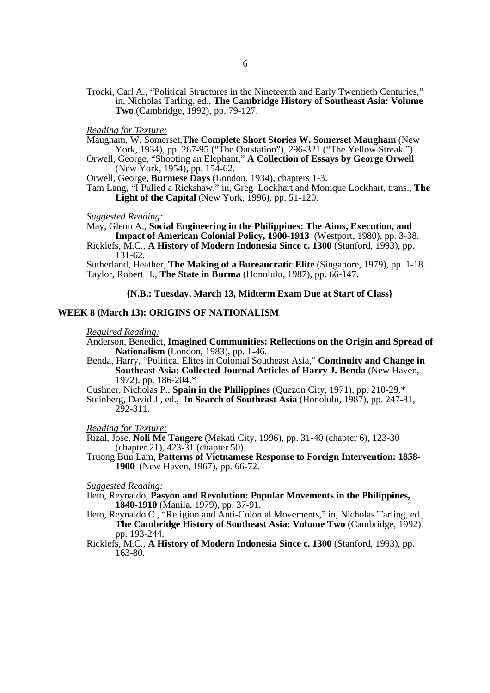- Trocki, Carl A., "Political Structures in the Nineteenth and Early Twentieth Centuries," in, Nicholas Tarling, ed., **The Cambridge History of Southeast Asia: Volume Two** (Cambridge, 1992), pp. 79-127.
- *Reading for Texture:*

Maugham, W. Somerset,**The Complete Short Stories W. Somerset Maugham** (New York, 1934), pp. 267-95 ("The Outstation"), 296-321 ("The Yellow Streak.")

Orwell, George, "Shooting an Elephant," **A Collection of Essays by George Orwell** (New York, 1954), pp. 154-62.

Orwell, George, **Burmese Days** (London, 1934), chapters 1-3.

Tam Lang, "I Pulled a Rickshaw," in, Greg Lockhart and Monique Lockhart, trans., **The**  Light of the Capital (New York, 1996), pp. 51-120.

*Suggested Reading:* 

### May, Glenn A., **Social Engineering in the Philippines: The Aims, Execution, and Impact of American Colonial Policy, 1900-1913** (Westport, 1980), pp. 3-38.

Ricklefs, M.C., **A History of Modern Indonesia Since c. 1300** (Stanford, 1993), pp. 131-62.

Sutherland, Heather, **The Making of a Bureaucratic Elite** (Singapore, 1979), pp. 1-18. Taylor, Robert H., **The State in Burma** (Honolulu, 1987), pp. 66-147.

### **{N.B.: Tuesday, March 13, Midterm Exam Due at Start of Class}**

### **WEEK 8 (March 13): ORIGINS OF NATIONALISM**

# *Required Reading:*

Anderson, Benedict, **Imagined Communities: Reflections on the Origin and Spread of Nationalism** (London, 1983), pp. 1-46.

Benda, Harry, "Political Elites in Colonial Southeast Asia," **Continuity and Change in Southeast Asia: Collected Journal Articles of Harry J. Benda** (New Haven, 1972), pp. 186-204.\*

Cushner, Nicholas P., **Spain in the Philippines** (Quezon City, 1971), pp. 210-29.\*

Steinberg, David J., ed., **In Search of Southeast Asia** (Honolulu, 1987), pp. 247-81, 292-311.

#### *Reading for Texture:*

Rizal, Jose, **Noli Me Tangere** (Makati City, 1996), pp. 31-40 (chapter 6), 123-30 (chapter 21),  $423 - 31$  (chapter 50).

Truong Buu Lam, **Patterns of Vietnamese Response to Foreign Intervention: 1858- 1900** (New Haven, 1967), pp. 66-72.

### *Suggested Reading:*

Ileto, Reynaldo, **Pasyon and Revolution: Popular Movements in the Philippines, 1840-1910** (Manila, 1979), pp. 37-91.

- Ileto, Reynaldo C., "Religion and Anti-Colonial Movements," in, Nicholas Tarling, ed., **The Cambridge History of Southeast Asia: Volume Two** (Cambridge, 1992) pp. 193-244.
- Ricklefs, M.C., **A History of Modern Indonesia Since c. 1300** (Stanford, 1993), pp. 163-80.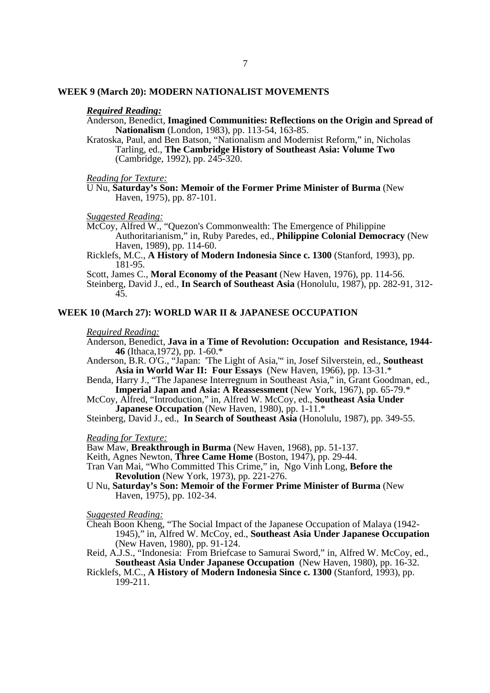### **WEEK 9 (March 20): MODERN NATIONALIST MOVEMENTS**

# *Required Reading:*

Anderson, Benedict, **Imagined Communities: Reflections on the Origin and Spread of Nationalism** (London, 1983), pp. 113-54, 163-85.

Kratoska, Paul, and Ben Batson, "Nationalism and Modernist Reform," in, Nicholas Tarling, ed., **The Cambridge History of Southeast Asia: Volume Two** (Cambridge, 1992), pp. 245-320.

*Reading for Texture:* 

*Suggested Reading:* 

- McCoy, Alfred W., "Quezon's Commonwealth: The Emergence of Philippine Authoritarianism," in, Ruby Paredes, ed., **Philippine Colonial Democracy** (New Haven, 1989), pp. 114-60.
- Ricklefs, M.C., **A History of Modern Indonesia Since c. 1300** (Stanford, 1993), pp. 181-95.

Scott, James C., **Moral Economy of the Peasant** (New Haven, 1976), pp. 114-56.

Steinberg, David J., ed., **In Search of Southeast Asia** (Honolulu, 1987), pp. 282-91, 312- 45.

## **WEEK 10 (March 27): WORLD WAR II & JAPANESE OCCUPATION**

# *Required Reading:*

Anderson, Benedict, **Java in a Time of Revolution: Occupation and Resistance, 1944- 46** (Ithaca,1972), pp. 1-60.\*

- Anderson, B.R. O'G., "Japan: 'The Light of Asia,'" in, Josef Silverstein, ed., **Southeast Asia in World War II: Four Essays** (New Haven, 1966), pp. 13-31.\*
- Benda, Harry J., "The Japanese Interregnum in Southeast Asia," in, Grant Goodman, ed., **Imperial Japan and Asia: A Reassessment** (New York, 1967), pp. 65-79.\*
- McCoy, Alfred, "Introduction," in, Alfred W. McCoy, ed., **Southeast Asia Under Japanese Occupation** (New Haven, 1980), pp. 1-11.\*

Steinberg, David J., ed., **In Search of Southeast Asia** (Honolulu, 1987), pp. 349-55.

#### *Reading for Texture:*

Baw Maw, **Breakthrough in Burma** (New Haven, 1968), pp. 51-137.

Keith, Agnes Newton, **Three Came Home** (Boston, 1947), pp. 29-44.

Tran Van Mai, "Who Committed This Crime," in, Ngo Vinh Long, **Before the Revolution** (New York, 1973), pp. 221-276.

U Nu, **Saturday's Son: Memoir of the Former Prime Minister of Burma** (New Haven, 1975), pp. 102-34.

*Suggested Reading:* 

- Cheah Boon Kheng, "The Social Impact of the Japanese Occupation of Malaya (1942-1945)," in, Alfred W. McCoy, ed., **Southeast Asia Under Japanese Occupation** (New Haven, 1980), pp. 91-124.
- Reid, A.J.S., "Indonesia: From Briefcase to Samurai Sword," in, Alfred W. McCoy, ed., **Southeast Asia Under Japanese Occupation** (New Haven, 1980), pp. 16-32.
- Ricklefs, M.C., **A History of Modern Indonesia Since c. 1300** (Stanford, 1993), pp. 199-211.

U Nu, **Saturday's Son: Memoir of the Former Prime Minister of Burma** (New Haven, 1975), pp. 87-101.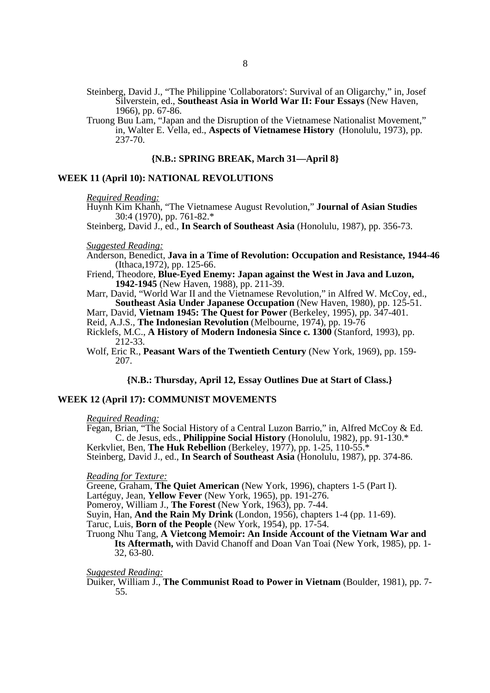Steinberg, David J., "The Philippine 'Collaborators': Survival of an Oligarchy," in, Josef Silverstein, ed., **Southeast Asia in World War II: Four Essays** (New Haven, 1966), pp. 67-86.

Truong Buu Lam, "Japan and the Disruption of the Vietnamese Nationalist Movement," in, Walter E. Vella, ed., **Aspects of Vietnamese History**(Honolulu, 1973), pp. 237-70.

### **{N.B.: SPRING BREAK, March 31—April 8}**

### **WEEK 11 (April 10): NATIONAL REVOLUTIONS**

*Required Reading:* 

Huynh Kim Khanh, "The Vietnamese August Revolution," **Journal of Asian Studies**  30:4 (1970), pp. 761-82.\*

Steinberg, David J., ed., **In Search of Southeast Asia** (Honolulu, 1987), pp. 356-73.

#### *Suggested Reading:*

Anderson, Benedict, **Java in a Time of Revolution: Occupation and Resistance, 1944-46**  (Ithaca,1972), pp. 125-66.

Friend, Theodore, **Blue-Eyed Enemy: Japan against the West in Java and Luzon, 1942-1945** (New Haven, 1988), pp. 211-39.

Marr, David, "World War II and the Vietnamese Revolution," in Alfred W. McCoy, ed., **Southeast Asia Under Japanese Occupation** (New Haven, 1980), pp. 125-51.

Marr, David, **Vietnam 1945: The Quest for Power** (Berkeley, 1995), pp. 347-401.

Reid, A.J.S., **The Indonesian Revolution** (Melbourne, 1974), pp. 19-76

Ricklefs, M.C., **A History of Modern Indonesia Since c. 1300** (Stanford, 1993), pp. 212-33.

Wolf, Eric R., **Peasant Wars of the Twentieth Century** (New York, 1969), pp. 159- 207.

### **{N.B.: Thursday, April 12, Essay Outlines Due at Start of Class.}**

#### **WEEK 12 (April 17): COMMUNIST MOVEMENTS**

#### *Required Reading:*

Fegan, Brian, "The Social History of a Central Luzon Barrio," in, Alfred McCoy & Ed. C. de Jesus, eds., **Philippine Social History** (Honolulu, 1982), pp. 91-130.\* Kerkvliet, Ben, **The Huk Rebellion** (Berkeley, 1977), pp. 1-25, 110-55.\*

Steinberg, David J., ed., **In Search of Southeast Asia** (Honolulu, 1987), pp. 374-86.

#### *Reading for Texture:*

Greene, Graham, **The Quiet American** (New York, 1996), chapters 1-5 (Part I).

Lartéguy, Jean, **Yellow Fever** (New York, 1965), pp. 191-276.

Pomeroy, William J., **The Forest** (New York, 1963), pp. 7-44.

Suyin, Han, **And the Rain My Drink** (London, 1956), chapters 1-4 (pp. 11-69).

Taruc, Luis, **Born of the People** (New York, 1954), pp. 17-54.

Truong Nhu Tang, **A Vietcong Memoir: An Inside Account of the Vietnam War and Its Aftermath,** with David Chanoff and Doan Van Toai (New York, 1985), pp. 1- 32, 63-80.

### *Suggested Reading:*

Duiker, William J., **The Communist Road to Power in Vietnam** (Boulder, 1981), pp. 7- 55.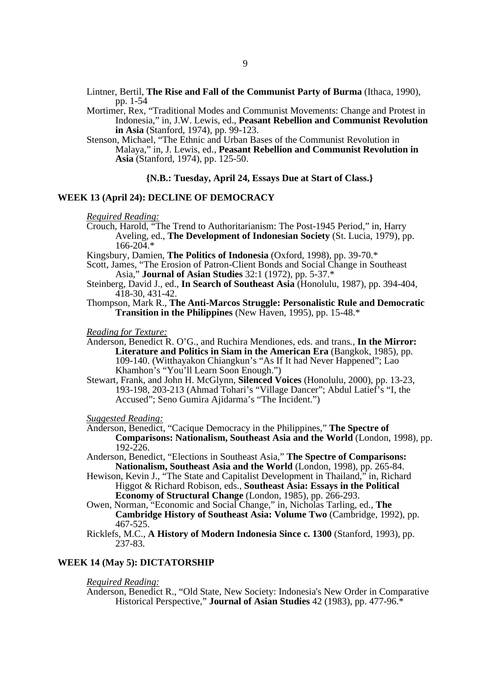- Lintner, Bertil, **The Rise and Fall of the Communist Party of Burma** (Ithaca, 1990), pp. 1-54
- Mortimer, Rex, "Traditional Modes and Communist Movements: Change and Protest in Indonesia," in, J.W. Lewis, ed., **Peasant Rebellion and Communist Revolution in Asia** (Stanford, 1974), pp. 99-123.

Stenson, Michael, "The Ethnic and Urban Bases of the Communist Revolution in Malaya," in, J. Lewis, ed., **Peasant Rebellion and Communist Revolution in Asia** (Stanford, 1974), pp. 125-50.

### **{N.B.: Tuesday, April 24, Essays Due at Start of Class.}**

# **WEEK 13 (April 24): DECLINE OF DEMOCRACY**

*Required Reading:* 

- Crouch, Harold, "The Trend to Authoritarianism: The Post-1945 Period," in, Harry Aveling, ed., **The Development of Indonesian Society** (St. Lucia, 1979), pp.  $166 - 204$ .\*
- Kingsbury, Damien, **The Politics of Indonesia** (Oxford, 1998), pp. 39-70.\*
- Scott, James, "The Erosion of Patron-Client Bonds and Social Change in Southeast Asia," **Journal of Asian Studies** 32:1 (1972), pp. 5-37.\*
- Steinberg, David J., ed., **In Search of Southeast Asia** (Honolulu, 1987), pp. 394-404, 418-30, 431-42.
- Thompson, Mark R., **The Anti-Marcos Struggle: Personalistic Rule and Democratic Transition in the Philippines** (New Haven, 1995), pp. 15-48.\*

*Reading for Texture:* 

- Anderson, Benedict R. O'G., and Ruchira Mendiones, eds. and trans*.,* **In the Mirror: Literature and Politics in Siam in the American Era** (Bangkok, 1985), pp. 109-140. (Witthayakon Chiangkun's "As If It had Never Happened"; Lao Khamhon's "You'll Learn Soon Enough.")
- Stewart, Frank, and John H. McGlynn, **Silenced Voices** (Honolulu, 2000), pp. 13-23, 193-198, 203-213 (Ahmad Tohari's "Village Dancer"; Abdul Latief's "I, the Accused"; Seno Gumira Ajidarma's "The Incident.")

*Suggested Reading:* 

- Anderson, Benedict, "Cacique Democracy in the Philippines," **The Spectre of Comparisons: Nationalism, Southeast Asia and the World** (London, 1998), pp. 192-226.
- Anderson, Benedict, "Elections in Southeast Asia," **The Spectre of Comparisons: Nationalism, Southeast Asia and the World** (London, 1998), pp. 265-84.
- Hewison, Kevin J., "The State and Capitalist Development in Thailand," in, Richard Higgot & Richard Robison, eds., **Southeast Asia: Essays in the Political Economy of Structural Change** (London, 1985), pp. 266-293.
- Owen, Norman, "Economic and Social Change," in, Nicholas Tarling, ed., **The Cambridge History of Southeast Asia: Volume Two** (Cambridge, 1992), pp. 467-525.
- Ricklefs, M.C., **A History of Modern Indonesia Since c. 1300** (Stanford, 1993), pp. 237-83.

### **WEEK 14 (May 5): DICTATORSHIP**

*Required Reading:* 

Anderson, Benedict R., "Old State, New Society: Indonesia's New Order in Comparative Historical Perspective," **Journal of Asian Studies** 42 (1983), pp. 477-96.\*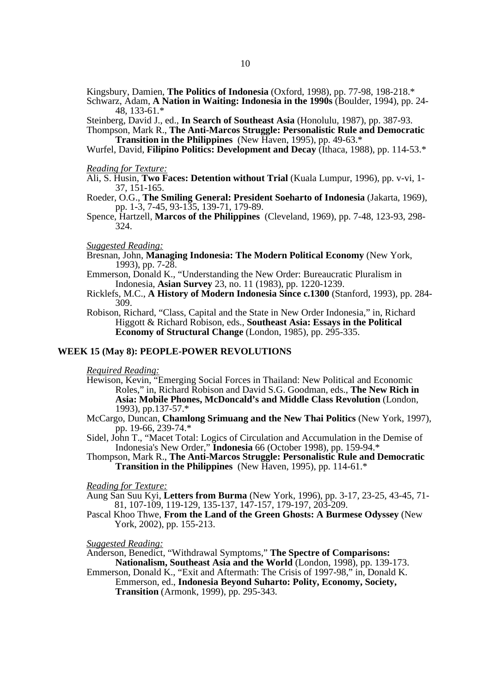Kingsbury, Damien, **The Politics of Indonesia** (Oxford, 1998), pp. 77-98, 198-218.\*

Schwarz, Adam, **A Nation in Waiting: Indonesia in the 1990s** (Boulder, 1994), pp. 24- 48, 133-61.\*

Steinberg, David J., ed., **In Search of Southeast Asia** (Honolulu, 1987), pp. 387-93.

Thompson, Mark R., **The Anti-Marcos Struggle: Personalistic Rule and Democratic Transition in the Philippines** (New Haven, 1995), pp. 49-63.\*

Wurfel, David, **Filipino Politics: Development and Decay** (Ithaca, 1988), pp. 114-53.\*

#### *Reading for Texture:*

Ali, S. Husin, **Two Faces: Detention without Trial** (Kuala Lumpur, 1996), pp. v-vi, 1- 37, 151-165.

Roeder, O.G., **The Smiling General: President Soeharto of Indonesia** (Jakarta, 1969), pp. 1-3, 7-45, 93-135, 139-71, 179-89.

Spence, Hartzell, **Marcos of the Philippines** (Cleveland, 1969), pp. 7-48, 123-93, 298- 324.

#### *Suggested Reading:*

Bresnan, John, **Managing Indonesia: The Modern Political Economy** (New York, 1993), pp. 7-28.

Emmerson, Donald K., "Understanding the New Order: Bureaucratic Pluralism in Indonesia, **Asian Survey** 23, no. 11 (1983), pp. 1220-1239.

- Ricklefs, M.C., **A History of Modern Indonesia Since c.1300** (Stanford, 1993), pp. 284- 309.
- Robison, Richard, "Class, Capital and the State in New Order Indonesia," in, Richard Higgott & Richard Robison, eds., **Southeast Asia: Essays in the Political Economy of Structural Change** (London, 1985), pp. 295-335.

### **WEEK 15 (May 8): PEOPLE-POWER REVOLUTIONS**

*Required Reading:* 

- Hewison, Kevin, "Emerging Social Forces in Thailand: New Political and Economic Roles," in, Richard Robison and David S.G. Goodman, eds., **The New Rich in Asia: Mobile Phones, McDoncald's and Middle Class Revolution** (London, 1993), pp.137-57.\*
- McCargo, Duncan, **Chamlong Srimuang and the New Thai Politics** (New York, 1997), pp. 19-66, 239-74.\*
- Sidel, John T., "Macet Total: Logics of Circulation and Accumulation in the Demise of Indonesia's New Order," **Indonesia** 66 (October 1998), pp. 159-94.\*
- Thompson, Mark R., **The Anti-Marcos Struggle: Personalistic Rule and Democratic Transition in the Philippines** (New Haven, 1995), pp. 114-61.\*

### *Reading for Texture:*

Aung San Suu Kyi, **Letters from Burma** (New York, 1996), pp. 3-17, 23-25, 43-45, 71- 81, 107-109, 119-129, 135-137, 147-157, 179-197, 203-209.

Pascal Khoo Thwe, **From the Land of the Green Ghosts: A Burmese Odyssey** (New York, 2002), pp. 155-213.

# *Suggested Reading:*

Anderson, Benedict, "Withdrawal Symptoms," **The Spectre of Comparisons: Nationalism, Southeast Asia and the World** (London, 1998), pp. 139-173.

Emmerson, Donald K., "Exit and Aftermath: The Crisis of 1997-98," in, Donald K. Emmerson, ed., **Indonesia Beyond Suharto: Polity, Economy, Society, Transition** (Armonk, 1999), pp. 295-343.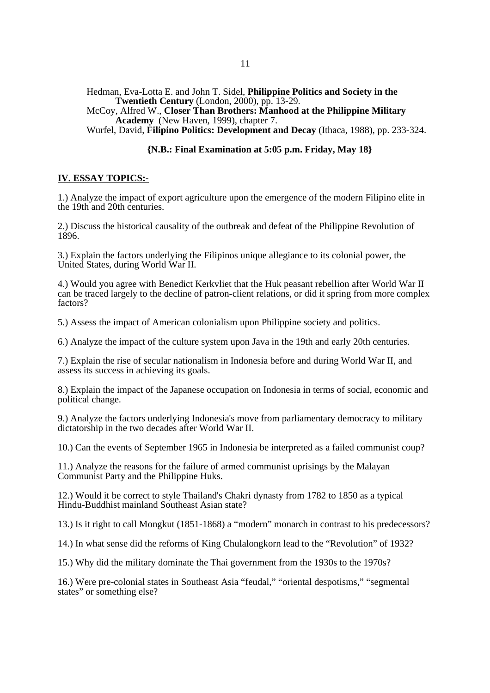Hedman, Eva-Lotta E. and John T. Sidel, **Philippine Politics and Society in the Twentieth Century** (London, 2000), pp. 13-29.

McCoy, Alfred W., **Closer Than Brothers: Manhood at the Philippine Military Academy** (New Haven, 1999), chapter 7.

Wurfel, David, **Filipino Politics: Development and Decay** (Ithaca, 1988), pp. 233-324.

# **{N.B.: Final Examination at 5:05 p.m. Friday, May 18}**

# **IV. ESSAY TOPICS:-**

1.) Analyze the impact of export agriculture upon the emergence of the modern Filipino elite in the 19th and 20th centuries.

2.) Discuss the historical causality of the outbreak and defeat of the Philippine Revolution of 1896.

3.) Explain the factors underlying the Filipinos unique allegiance to its colonial power, the United States, during World War II.

4.) Would you agree with Benedict Kerkvliet that the Huk peasant rebellion after World War II can be traced largely to the decline of patron-client relations, or did it spring from more complex factors?

5.) Assess the impact of American colonialism upon Philippine society and politics.

6.) Analyze the impact of the culture system upon Java in the 19th and early 20th centuries.

7.) Explain the rise of secular nationalism in Indonesia before and during World War II, and assess its success in achieving its goals.

8.) Explain the impact of the Japanese occupation on Indonesia in terms of social, economic and political change.

9.) Analyze the factors underlying Indonesia's move from parliamentary democracy to military dictatorship in the two decades after World War II.

10.) Can the events of September 1965 in Indonesia be interpreted as a failed communist coup?

11.) Analyze the reasons for the failure of armed communist uprisings by the Malayan Communist Party and the Philippine Huks.

12.) Would it be correct to style Thailand's Chakri dynasty from 1782 to 1850 as a typical Hindu-Buddhist mainland Southeast Asian state?

13.) Is it right to call Mongkut (1851-1868) a "modern" monarch in contrast to his predecessors?

14.) In what sense did the reforms of King Chulalongkorn lead to the "Revolution" of 1932?

15.) Why did the military dominate the Thai government from the 1930s to the 1970s?

16.) Were pre-colonial states in Southeast Asia "feudal," "oriental despotisms," "segmental states" or something else?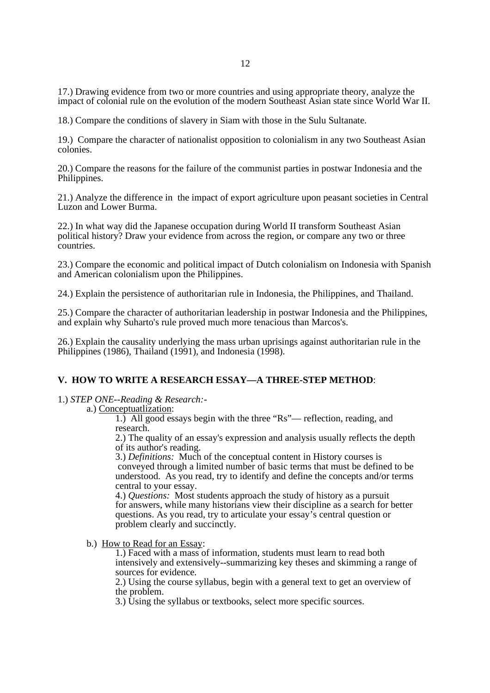17.) Drawing evidence from two or more countries and using appropriate theory, analyze the impact of colonial rule on the evolution of the modern Southeast Asian state since World War II.

18.) Compare the conditions of slavery in Siam with those in the Sulu Sultanate.

19.) Compare the character of nationalist opposition to colonialism in any two Southeast Asian colonies.

20.) Compare the reasons for the failure of the communist parties in postwar Indonesia and the Philippines.

21.) Analyze the difference in the impact of export agriculture upon peasant societies in Central Luzon and Lower Burma.

22.) In what way did the Japanese occupation during World II transform Southeast Asian political history? Draw your evidence from across the region, or compare any two or three countries.

23.) Compare the economic and political impact of Dutch colonialism on Indonesia with Spanish and American colonialism upon the Philippines.

24.) Explain the persistence of authoritarian rule in Indonesia, the Philippines, and Thailand.

25.) Compare the character of authoritarian leadership in postwar Indonesia and the Philippines, and explain why Suharto's rule proved much more tenacious than Marcos's.

26.) Explain the causality underlying the mass urban uprisings against authoritarian rule in the Philippines (1986), Thailand (1991), and Indonesia (1998).

# **V. HOW TO WRITE A RESEARCH ESSAY—A THREE-STEP METHOD**:

1.) *STEP ONE--Reading & Research:-* 

### a.) Conceptuatlization:

1.) All good essays begin with the three "Rs"— reflection, reading, and research.

2.) The quality of an essay's expression and analysis usually reflects the depth of its author's reading.

3.) *Definitions:* Much of the conceptual content in History courses is conveyed through a limited number of basic terms that must be defined to be understood. As you read, try to identify and define the concepts and/or terms central to your essay.

4.) *Questions:* Most students approach the study of history as a pursuit for answers, while many historians view their discipline as a search for better questions. As you read, try to articulate your essay's central question or problem clearly and succinctly.

b.) How to Read for an Essay:

1.) Faced with a mass of information, students must learn to read both intensively and extensively--summarizing key theses and skimming a range of sources for evidence.

2.) Using the course syllabus, begin with a general text to get an overview of the problem.

3.) Using the syllabus or textbooks, select more specific sources.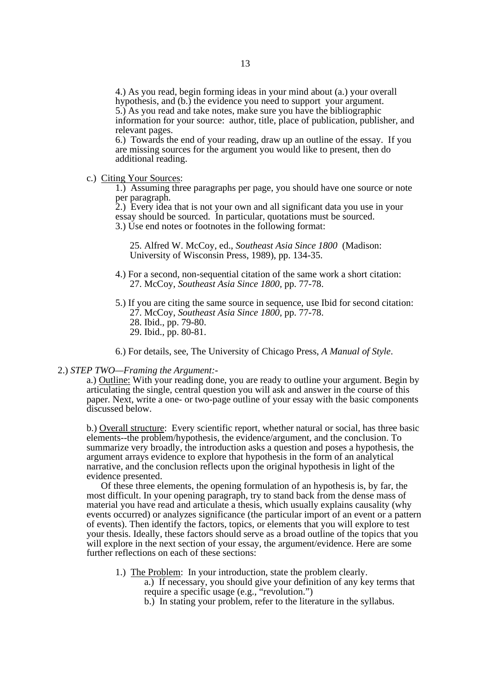4.) As you read, begin forming ideas in your mind about (a.) your overall hypothesis, and (b.) the evidence you need to support your argument. 5.) As you read and take notes, make sure you have the bibliographic information for your source: author, title, place of publication, publisher, and relevant pages.

6.) Towards the end of your reading, draw up an outline of the essay. If you are missing sources for the argument you would like to present, then do additional reading.

### c.) Citing Your Sources:

1.) Assuming three paragraphs per page, you should have one source or note per paragraph.

2.) Every idea that is not your own and all significant data you use in your essay should be sourced. In particular, quotations must be sourced. 3.) Use end notes or footnotes in the following format:

25. Alfred W. McCoy, ed., *Southeast Asia Since 1800* (Madison: University of Wisconsin Press, 1989), pp. 134-35.

- 4.) For a second, non-sequential citation of the same work a short citation: 27. McCoy, *Southeast Asia Since 1800,* pp. 77-78.
- 5.) If you are citing the same source in sequence, use Ibid for second citation: 27. McCoy, *Southeast Asia Since 1800,* pp. 77-78. 28. Ibid., pp. 79-80.
	- 29. Ibid., pp. 80-81.

6.) For details, see, The University of Chicago Press, *A Manual of Style*.

#### 2.) *STEP TWO—Framing the Argument:-*

a.) Outline: With your reading done, you are ready to outline your argument. Begin by articulating the single, central question you will ask and answer in the course of this paper. Next, write a one- or two-page outline of your essay with the basic components discussed below.

b.) Overall structure: Every scientific report, whether natural or social, has three basic elements--the problem/hypothesis, the evidence/argument, and the conclusion. To summarize very broadly, the introduction asks a question and poses a hypothesis, the argument arrays evidence to explore that hypothesis in the form of an analytical narrative, and the conclusion reflects upon the original hypothesis in light of the evidence presented.

 Of these three elements, the opening formulation of an hypothesis is, by far, the most difficult. In your opening paragraph, try to stand back from the dense mass of material you have read and articulate a thesis, which usually explains causality (why events occurred) or analyzes significance (the particular import of an event or a pattern of events). Then identify the factors, topics, or elements that you will explore to test your thesis. Ideally, these factors should serve as a broad outline of the topics that you will explore in the next section of your essay, the argument/evidence. Here are some further reflections on each of these sections:

- 1.) The Problem: In your introduction, state the problem clearly. a.) If necessary, you should give your definition of any key terms that require a specific usage (e.g., "revolution.")
	- b.) In stating your problem, refer to the literature in the syllabus.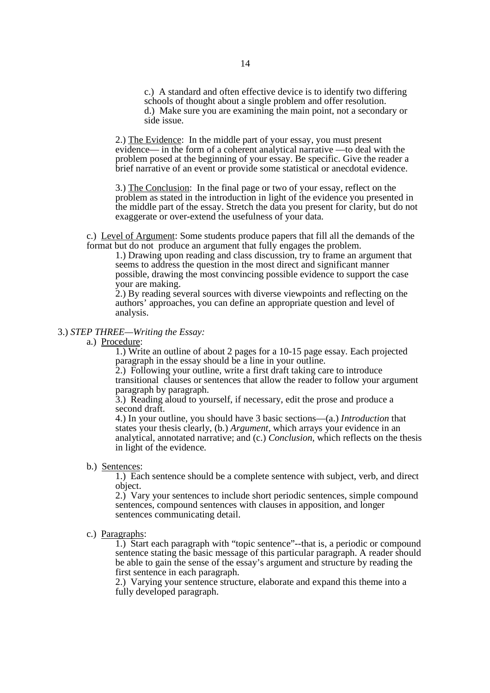c.) A standard and often effective device is to identify two differing schools of thought about a single problem and offer resolution. d.) Make sure you are examining the main point, not a secondary or side issue.

2.) The Evidence: In the middle part of your essay, you must present evidence— in the form of a coherent analytical narrative —to deal with the problem posed at the beginning of your essay. Be specific. Give the reader a brief narrative of an event or provide some statistical or anecdotal evidence.

3.) The Conclusion: In the final page or two of your essay, reflect on the problem as stated in the introduction in light of the evidence you presented in the middle part of the essay. Stretch the data you present for clarity, but do not exaggerate or over-extend the usefulness of your data.

c.) Level of Argument: Some students produce papers that fill all the demands of the format but do not produce an argument that fully engages the problem.

1.) Drawing upon reading and class discussion, try to frame an argument that seems to address the question in the most direct and significant manner possible, drawing the most convincing possible evidence to support the case your are making.

2.) By reading several sources with diverse viewpoints and reflecting on the authors' approaches, you can define an appropriate question and level of analysis.

#### 3.) *STEP THREE—Writing the Essay:*

a.) Procedure:

1.) Write an outline of about 2 pages for a 10-15 page essay. Each projected paragraph in the essay should be a line in your outline.

2.) Following your outline, write a first draft taking care to introduce transitional clauses or sentences that allow the reader to follow your argument paragraph by paragraph.

3.) Reading aloud to yourself, if necessary, edit the prose and produce a second draft.

4.) In your outline, you should have 3 basic sections—(a.) *Introduction* that states your thesis clearly, (b.) *Argument*, which arrays your evidence in an analytical, annotated narrative; and (c.) *Conclusion*, which reflects on the thesis in light of the evidence.

b.) Sentences:

1.) Each sentence should be a complete sentence with subject, verb, and direct object.

2.) Vary your sentences to include short periodic sentences, simple compound sentences, compound sentences with clauses in apposition, and longer sentences communicating detail.

c.) Paragraphs:

1.) Start each paragraph with "topic sentence"--that is, a periodic or compound sentence stating the basic message of this particular paragraph. A reader should be able to gain the sense of the essay's argument and structure by reading the first sentence in each paragraph.

2.) Varying your sentence structure, elaborate and expand this theme into a fully developed paragraph.